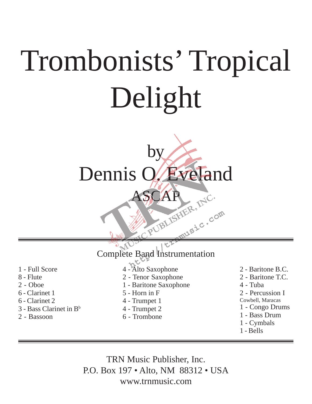## Trombonists' Tropical Delight



Complete Band Instrumentation

**AP AP AP AP ACTED** 

- 1 Full Score
- 8 Flute
- 2 Oboe
- 6 Clarinet 1
- 6 Clarinet 2
- 3 Bass Clarinet in Bb
- 2 Bassoon
- 4 Alto Saxophone
- 2 Tenor Saxophone
- 1 Baritone Saxophone
- 5 Horn in F
- 4 Trumpet 1
- 4 Trumpet 2
- 6 Trombone
- 2 Baritone B.C.
- 2 Baritone T.C.
- 4 Tuba
- 2 Percussion I
- Cowbell, Maracas
- 1 Congo Drums
- 1 Bass Drum
- 1 Cymbals
- 1 Bells

TRN Music Publisher, Inc. P.O. Box 197 • Alto, NM 88312 • USA www.trnmusic.com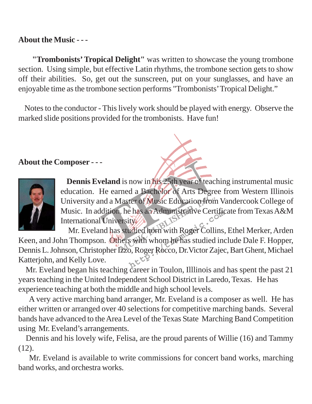## **About the Music - - -**

 **"Trombonists' Tropical Delight"** was written to showcase the young trombone section. Using simple, but effective Latin rhythms, the trombone section gets to show off their abilities. So, get out the sunscreen, put on your sunglasses, and have an enjoyable time as the trombone section performs "Trombonists' Tropical Delight."

 Notes to the conductor - This lively work should be played with energy. Observe the marked slide positions provided for the trombonists. Have fun!

## **About the Composer - - -**



**Dennis Eveland** is now in his 25th year of teaching instrumental music education. He earned a Bachelor of Arts Degree from Western Illinois University and a Master of Music Education from Vandercook College of Music. In addition, he has an Administrative Certificate from Texas A&M International University.

Mr. Eveland has studied horn with Roger Collins, Ethel Merker, Arden Keen, and John Thompson. Others with whom he has studied include Dale F. Hopper, Dennis L. Johnson, Christopher Izzo, Roger Rocco, Dr.Victor Zajec, Bart Ghent, Michael Katterjohn, and Kelly Love.

 Mr. Eveland began his teaching career in Toulon, Illlinois and has spent the past 21 years teaching in the United Independent School District in Laredo, Texas. He has experience teaching at both the middle and high school levels.

 A very active marching band arranger, Mr. Eveland is a composer as well. He has either written or arranged over 40 selections for competitive marching bands. Several bands have advanced to the Area Level of the Texas State Marching Band Competition using Mr. Eveland's arrangements.

 Dennis and his lovely wife, Felisa, are the proud parents of Willie (16) and Tammy (12).

 Mr. Eveland is available to write commissions for concert band works, marching band works, and orchestra works.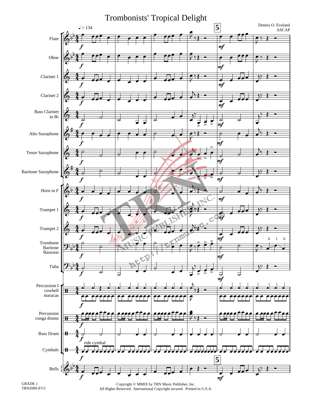

Copyright © MMIX by TRN Music Publisher, Inc. All Rights Reserved. International Copyright secured. Printed in U.S.A.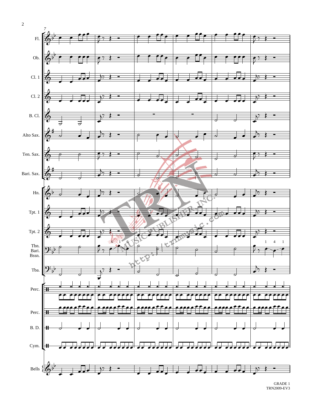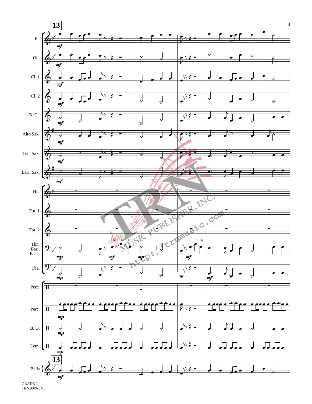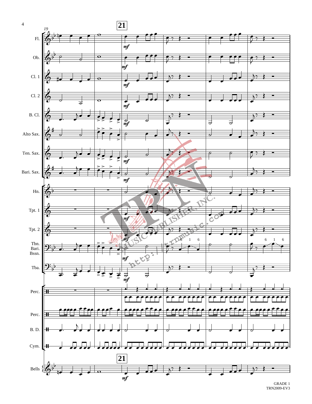

GRADE 1 TRN2009-EV3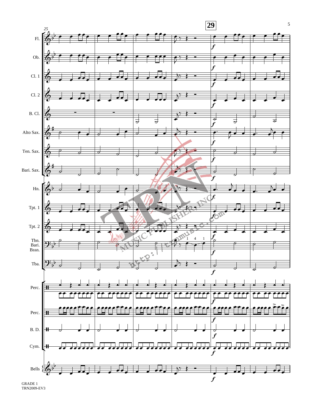